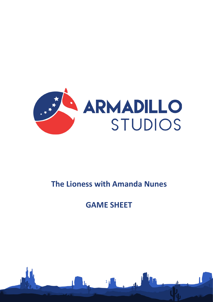

# **The Lioness with Amanda Nunes**

# **GAME SHEET**

1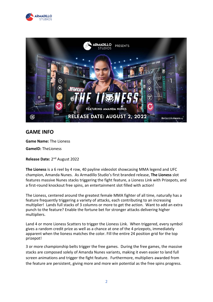



### **GAME INFO**

**Game Name:** The Lioness

**GameID:** TheLioness

**Release Date:** 2nd August 2022

**The Lioness** is a 6 reel by 4 row, 40 payline videoslot showcasing MMA legend and UFC champion, Amanda Nunes. As Armadillo Studio's first branded release, **The Lioness** slot features massive Nunes stacks triggering the fight feature, a Lioness Link with Prizepots, and a first-round knockout free spins, an entertainment slot filled with action!

The Lioness, centered around the greatest female MMA fighter of all time, naturally has a feature frequently triggering a variety of attacks, each contributing to an increasing multiplier! Lands full stacks of 3 columns or more to get the action. Want to add an extra punch to the feature? Enable the fortune bet for stronger attacks delivering higher multipliers.

Land 4 or more Lioness Scatters to trigger the Lioness Link. When triggered, every symbol gives a random credit prize as well as a chance at one of the 4 prizepots, immediately apparent when the lioness matches the color. Fill the entire 24 position grid for the top prizepot!

3 or more championship belts trigger the free games. During the free games, the massive stacks are composed solely of Amanda Nunes variants, making it even easier to land full screen animations and trigger the fight feature. Furthermore, multipliers awarded from the feature are persistent, giving more and more win potential as the free spins progress.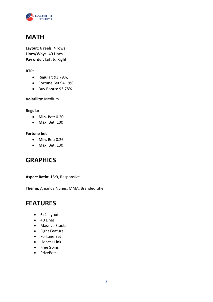

### **MATH**

**Layout**: 6 reels, 4 rows **Lines/Ways**: 40 Lines **Pay order**: Left to Right

#### **RTP:**

- Regular: 93.79%,
- Fortune Bet 94.19%
- Buy Bonus: 93.78%

#### **Volatility:** Medium

#### **Regular**

- **Min.** Bet: 0.20
- **Max.** Bet: 100

#### **Fortune bet**

- **Min.** Bet: 0.26
- **Max.** Bet: 130

### **GRAPHICS**

**Aspect Ratio:** 16:9, Responsive.

**Theme:** Amanda Nunes, MMA, Branded title

### **FEATURES**

- 6x4 layout
- 40 Lines
- Massive Stacks
- Fight Feature
- Fortune Bet
- Lioness Link
- Free Spins
- PrizePots